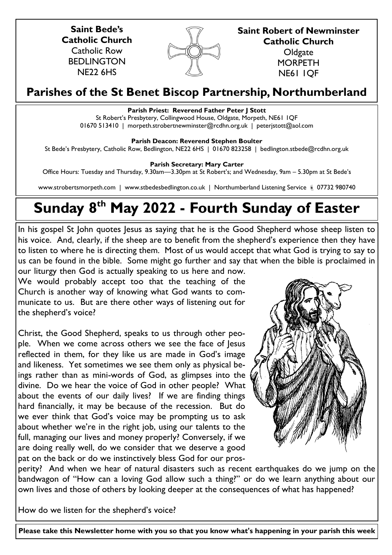**Saint Bede's Catholic Church** Catholic Row BEDLINGTON NE22 6HS



**Saint Robert of Newminster Catholic Church Oldgate MORPETH** 

NE61 1QF

# **Parishes of the St Benet Biscop Partnership, Northumberland**

# **Parish Priest: Reverend Father Peter J Stott**

St Robert's Presbytery, Collingwood House, Oldgate, Morpeth, NE61 1QF 01670 513410 | morpeth.strobertnewminster@rcdhn.org.uk | peterjstott@aol.com

# **Parish Deacon: Reverend Stephen Boulter**

St Bede's Presbytery, Catholic Row, Bedlington, NE22 6HS | 01670 823258 | bedlington.stbede@rcdhn.org.uk

**Parish Secretary: Mary Carter** 

Office Hours: Tuesday and Thursday, 9.30am—3.30pm at St Robert's; and Wednesday, 9am – 5.30pm at St Bede's

www.strobertsmorpeth.com | www.stbedesbedlington.co.uk | Northumberland Listening Service | 07732 980740

# **Sunday 8th May 2022 - Fourth Sunday of Easter**

In his gospel St John quotes Jesus as saying that he is the Good Shepherd whose sheep listen to his voice. And, clearly, if the sheep are to benefit from the shepherd's experience then they have to listen to where he is directing them. Most of us would accept that what God is trying to say to us can be found in the bible. Some might go further and say that when the bible is proclaimed in our liturgy then God is actually speaking to us here and now.

We would probably accept too that the teaching of the Church is another way of knowing what God wants to communicate to us. But are there other ways of listening out for the shepherd's voice?

Christ, the Good Shepherd, speaks to us through other people. When we come across others we see the face of Jesus reflected in them, for they like us are made in God's image and likeness. Yet sometimes we see them only as physical beings rather than as mini-words of God, as glimpses into the divine. Do we hear the voice of God in other people? What about the events of our daily lives? If we are finding things hard financially, it may be because of the recession. But do we ever think that God's voice may be prompting us to ask about whether we're in the right job, using our talents to the full, managing our lives and money properly? Conversely, if we are doing really well, do we consider that we deserve a good pat on the back or do we instinctively bless God for our pros-



perity? And when we hear of natural disasters such as recent earthquakes do we jump on the bandwagon of "How can a loving God allow such a thing?" or do we learn anything about our own lives and those of others by looking deeper at the consequences of what has happened?

How do we listen for the shepherd's voice?

**Please take this Newsletter home with you so that you know what's happening in your parish this week**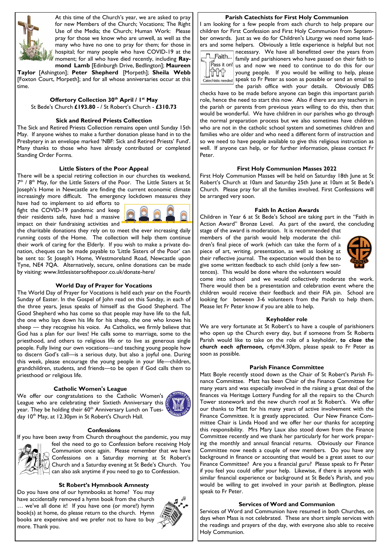

At this time of the Church's year, we are asked to pray for new Members of the Church; Vocations; The Right Use of the Media; the Church; Human Work: Please pray for those we know who are unwell, as well as the many who have no one to pray for them; for those in hospital; for many people who have COVID-19 at the moment; for all who have died recently, including **Raymond Lamb** [Edinburgh Drive, Bedlington]; **Maureen** 

**Taylor** [Ashington]; **Peter Shepherd** [Morpeth]; **Sheila Webb** [Foxton Court, Morpeth]; and for all whose anniversaries occur at this time.

# **Offertory Collection 30th April / 1st May** St Bede's Church **£193.80** - / St Robert's Church - **£310.73**

#### **Sick and Retired Priests Collection**

The Sick and Retired Priests Collection remains open until Sunday 15th May. If anyone wishes to make a further donation please hand in to the Presbytery in an envelope marked 'NBF: Sick and Retired Priests' Fund'. Many thanks to those who have already contributed or completed Standing Order Forms.

#### **Little Sisters of the Poor Appeal**

There will be a special retiring collection in our churches tis weekend,  $7<sup>th</sup>$  /  $8<sup>th</sup>$  May, for the Little Sisters of the Poor. The Little Sisters at St Joseph's Home in Newcastle are finding the current economic climate increasingly more difficult. The emergency lockdown measures they

have had to implement to aid efforts to fight the COVID-19 pandemic and keep their residents safe, have had a massive impact on their fundraising activities and



the charitable donations they rely on to meet the ever increasing daily running costs of the Home. The collection will help them continue their work of caring for the Elderly. If you wish to make a private donation, cheques can be made payable to 'Little Sisters of the Poor' can be sent to: St Joseph's Home, Westmoreland Road, Newcastle upon Tyne, NE4 7QA. Alternatively, secure, online donations can be made by visiting: www.littlesistersofthepoor.co.uk/donate-here/

#### **World Day of Prayer for Vocations**

The World Day of Prayer for Vocations is held each year on the Fourth Sunday of Easter. In the Gospel of John read on this Sunday, in each of the three years, Jesus speaks of himself as the Good Shepherd. The Good Shepherd who has come so that people may have life to the full, the one who lays down his life for his sheep, the one who knows his sheep — they recognise his voice. As Catholics, we firmly believe that God has a plan for our lives! He calls some to marriage, some to the priesthood, and others to religious life or to live as generous single people. Fully living our own vocations—and teaching young people how to discern God's call—is a serious duty, but also a joyful one. During this week, please encourage the young people in your life—children, grandchildren, students, and friends—to be open if God calls them to priesthood or religious life.

### **Catholic Women's League**

We offer our congratulations to the Catholic Women's League who are celebrating their Sixtieth Anniversary this year. They be holding their 60<sup>th</sup> Anniversary Lunch on Tuesday 10<sup>th</sup> May, at 12.30pm in St Robert's Church Hall.



#### **Confessions**

If you have been away from Church throughout the pandemic, you may



feel the need to go to Confession before receiving Holy Communion once again. Please remember that we have  $\frac{1}{3}$  Confessions on a Saturday morning at St Robert's Church and a Saturday evening at St Bede's Church. You can also ask anytime if you need to go to Confession.

#### **St Robert's Hymnbook Amnesty**

Do you have one of our hymnbooks at home? You may have accidentally removed a hymn book from the church … we've all done it! If you have one (or more!) hymn book(s) at home, do please return to the church. Hymn books are expensive and we prefer not to have to buy more. Thank you.



#### **Parish Catechists for First Holy Communion**

I am looking for a few people from each church to help prepare our children for First Confession and First Holy Communion from September onwards. Just as we do for Children's Liturgy we need some leaders and some helpers. Obviously a little experience is helpful but not



necessary. We have all benefitted over the years from  $T$ Faith... | Ilecessary. The nare and parishioners who have passed on their faith to  $\left| \overline{P} \right|$  as it on! us and now we need to continue to do this for our young people. If you would be willing to help, please  $\frac{1}{\text{Catechists needed}}$  speak to Fr Peter as soon as possible or send an email to the parish office with your details. Obviously DBS

checks have to be made before anyone can begin this important parish role, hence the need to start this now. Also if there are any teachers in the parish or parents from previous years willing to do this, then that would be wonderful. We have children in our parishes who go through the normal preparation process but we also sometimes have children who are not in the catholic school system and sometimes children and families who are older and who need a different form of instruction and so we need to have people available to give this religious instruction as well.If anyone can help, or for further information, please contact Fr Peter.

#### **First Holy Communion Masses 2022**

First Holy Communion Masses will be held on Saturday 18th June at St Robert's Church at 10am and Saturday 25th June at 10am at St Bede's Church. Please pray for all the families involved. First Confessions will be arranged very soon.

#### **Faith In Action Awards**

Children in Year 6 at St Bede's School are taking part in the "Faith in Action Award" Bronze Level. As part of the award, the concluding

stage of the award is moderation. It is recommended that members of the parish would help moderate the children's final piece of work (which can take the form of a piece of art, writing, presentation, as well as looking at their reflective journal. The expectation would then be to give some written feedback to each child (only a few sentences). This would be done where the volunteers would



come into school and we would collectively moderate the work. There would then be a presentation and celebration event where the children would receive their feedback and their FIA pin. School are looking for between 3-6 volunteers from the Parish to help them. Please let Fr Peter know if you are able to help.

#### **Keyholder role**

We are very fortunate at St Robert's to have a couple of parishioners who open up the Church every day, but if someone from St Roberts Parish would like to take on the role of a keyholder, *to close the church each afternoon,* c4pm/4.30pm, please speak to Fr Peter as soon as possible.

#### **Parish Finance Committee**

Matt Boyle recently stood down as the Chair of St Robert's Parish Finance Committee. Matt has been Chair of the Finance Committee for many years and was especially involved in the raising a great deal of the finances via Heritage Lottery Funding for all the repairs to the Church Tower stonework and the new church roof at St Robert's. We offer our thanks to Matt for his many years of active involvement with the Finance Committee. It is greatly appreciated. Our New Finance Committee Chair is Linda Hood and we offer her our thanks for accepting this responsibility. Mrs Mary Laux also stood down from the Finance Committee recently and we thank her particularly for her work preparing the monthly and annual financial returns. Obviously our Finance Committee now needs a couple of new members. Do you have any background in finance or accounting that would be a great asset to our Finance Committee? Are you a financial guru? Please speak to Fr Peter if you feel you could offer your help. Likewise, if there is anyone with similar financial experience or background at St Bede's Parish, and you would be willing to get involved in your parish at Bedlington, please speak to Fr Peter.

#### **Services of Word and Communion**

Services of Word and Communion have resumed in both Churches, on days when Mass is not celebrated. These are short simple services with the readings and prayers of the day, with everyone also able to receive Holy Communion.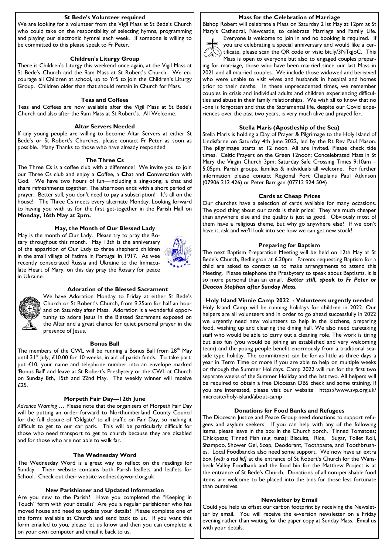#### **St Bede's Volunteer required**

We are looking for a volunteer from the Vigil Mass at St Bede's Church who could take on the responsibility of selecting hymns, programming and playing our electronic hymnal each week. If someone is willing to be committed to this please speak to Fr Peter.

#### **Children's Liturgy Group**

There is Children's Liturgy this weekend once again, at the Vigil Mass at St Bede's Church and the 9am Mass at St Robert's Church. We encourage all Children at school, up to Yr5 to join the Children's Liturgy Group. Children older than that should remain in Church for Mass.

#### **Teas and Coffees**

Teas and Coffees are now available after the Vigil Mass at St Bede's Church and also after the 9am Mass at St Robert's. All Welcome.

#### **Altar Servers Needed**

If any young people are willing to become Altar Servers at either St Bede's or St Robert's Churches, please contact Fr Peter as soon as possible. Many Thanks to those who have already responded.

#### **The Three Cs**

The Three Cs is a coffee club with a difference! We invite you to join our Three Cs club and enjoy a **C**offee, a **C**hat and **C**onversation with God. We have two hours of fun—including a sing-song, a chat and share refreshments together. The afternoon ends with a short period of prayer. Better still, you don't need to pay a subscription! It's all on the house! The Three Cs meets every alternate Monday. Looking forward to having you with us for the first get-together in the Parish Hall on **Monday, 16th May at 2pm.**

# **May, the Month of Our Blessed Lady**

May is the month of Our Lady. Please try to pray the Rosary throughout this month. May 13th is the anniversary of the apparition of Our Lady to three shepherd children in the small village of Fatima in Portugal in 1917. As wee recently consecrated Russia and Ukraine to the Immaculate Heart of Mary, on this day pray the Rosary for peace in Ukraine.



#### **Adoration of the Blessed Sacrament** We have Adoration Monday to Friday at either St Bede's

Church or St Robert's Church, from 9.25am for half an hour

#### and on Saturday after Mass. Adoration is a wonderful opportunity to adore Jesus in the Blessed Sacrament exposed on

the Altar and a great chance for quiet personal prayer in the presence of Jesus.

#### **Bonus Ball**

The members of the CWL will be running a Bonus Ball from 28<sup>th</sup> May until  $31^{st}$  July, £10.00 for 10 weeks, in aid of parish funds. To take part: put £10, your name and telephone number into an envelope marked 'Bonus Ball' and leave at St Robert's Presbytery or the CWL at Church on Sunday 8th, 15th and 22nd May. The weekly winner will receive £25.

#### **Morpeth Fair Day—12th June**

*Advance Warning* … Please note that the organisers of Morpeth Fair Day will be putting an order forward to Northumberland County Council for the full closure of 'Oldgate' to all traffic on Fair Day, so making it difficult to get to our car park. This will be particularly difficult for those who need transport to get to church because they are disabled and for those who are not able to walk far.

#### **The Wednesday Word**

The Wednesday Word is a great way to reflect on the readings for Sunday. Their website contains both Parish leaflets and leaflets for School. Check out their website wednesdayword.org.uk

#### **New Parishioner and Updated Information**

Are you new to the Parish? Have you completed the "Keeping in Touch" form with your details? Are you a regular parishioner who has moved house and need to update your details? Please complete one of the forms available at Church and send back to us. If you want this form emailed to you, please let us know and then you can complete it on your own computer and email it back to us.

#### **Mass for the Celebration of Marriage**

Bishop Robert will celebrate a Mass on Saturday 21st May at 12pm at St Mary's Cathedral, Newcastle, to celebrate Marriage and Family Life.



Everyone is welcome to join in and no booking is required. If you are celebrating a special anniversary and would like a certificate, please scan the QR code or visit: bit.ly/3NTqjoC. This Mass is open to everyone but also to engaged couples prepar-

ing for marriage, those who have been married since our last Mass in 2021 and all married couples. We include those widowed and bereaved who were unable to visit wives and husbands in hospital and homes prior to their deaths. In these unprecedented times, we remember couples in crisis and individual adults and children experiencing difficulties and abuse in their family relationships. We wish all to know that no -one is forgotten and that the Sacramental life, despite our Covid experiences over the past two years, is very much alive and prayed for.

#### **Stella Maris (Apostleship of the Sea)**

Stella Maris is holding a Day of Prayer & Pilgrimage to the Holy Island of Lindisfarne on Saturday 4th June 2022, led by the Rt Rev Paul Mason. The pilgrimage starts at 12 noon. All are invited. Please check tide times. Celtic Prayers on the Green 12noon; Concelebrated Mass in St Mary the Virgin Church 3pm; Saturday Safe Crossing Times 9:10am – 5.05pm. Parish groups, families & individuals all welcome. For further information please contact Regional Port Chaplains Paul Atkinson (07906 212 426) or Peter Barrigan (07713 924 504)

#### **Cards at Cheap Prices**

Our churches have a selection of cards available for many occasions. The good thing about our cards is their price! They are much cheaper than anywhere else and the quality is just as good. Obviously most of them have a religious theme, but why go anywhere else? If we don't have it, ask and we'll look into see how we can get new stock!

#### **Preparing for Baptism**

The next Baptism Preparation Meeting will be held on 12th May at St Bede's Church, Bedlington at 6.30pm. Parents requesting Baptism for a child are asked to contact us to make arrangements to attend this Meeting. Please telephone the Presbytery to speak about Baptisms, it is so more personal than an email. *Better still, speak to Fr Peter or Deacon Stephen after Sunday Mass.*

**Holy Island Vinnie Camp 2022 - Volunteers urgently needed** Holy Island Camp will be running holidays for children in 2022. Our helpers are all volunteers and in order to go ahead successfully in 2022 we urgently need new volunteers to help in the kitchens, preparing food, washing up and clearing the dining hall. We also need caretaking staff who would be able to carry out a cleaning role. The work is tiring but also fun (you would be joining an established and very welcoming team) and the young people benefit enormously from a traditional seaside type holiday. The commitment can be for as little as three days a year in Term Time or more if you are able to help on multiple weeks or through the Summer Holidays. Camp 2022 will run for the first two separate weeks of the Summer Holiday and the last two. All helpers will be required to obtain a free Diocesan DBS check and some training. If you are interested, please visit our website https://www.svp.org.uk/ microsite/holy-island/about-camp

#### **Donations for Food Banks and Refugees**

The Diocesan Justice and Peace Group need donations to support refugees and asylum seekers. If you can help with any of the following items, please leave in the box in the Church porch. Tinned Tomatoes; Chickpeas; Tinned Fish (e.g. tuna); Biscuits, Rice, Sugar, Toilet Roll, Shampoo, Shower Gel, Soap, Deodorant, Toothpaste, and Toothbrushes. Local Foodbancks also need some support. We now have an extra box *[with a red lid]* at the entrance of St Robert's Church for the Wansbeck Valley Foodbank and the food bin for the Matthew Project is at the entrance of St Bede's Church. Donations of all non-perishable food items are welcome to be placed into the bins for those less fortunate than ourselves.

#### **Newsletter by Email**

Could you help us offset our carbon footprint by receiving the Newsletter by email. You will receive the e-version newsletter on a Friday evening rather than waiting for the paper copy at Sunday Mass. Email us with your details.